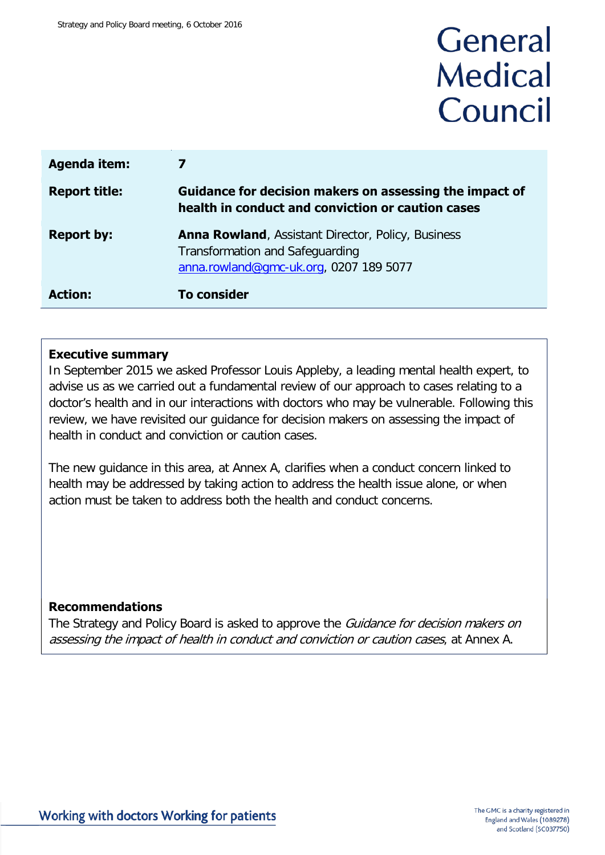# General **Medical** Council

| <b>Agenda item:</b>  |                                                                                                                                               |
|----------------------|-----------------------------------------------------------------------------------------------------------------------------------------------|
| <b>Report title:</b> | Guidance for decision makers on assessing the impact of<br>health in conduct and conviction or caution cases                                  |
| <b>Report by:</b>    | <b>Anna Rowland, Assistant Director, Policy, Business</b><br><b>Transformation and Safeguarding</b><br>anna.rowland@gmc-uk.org, 0207 189 5077 |
| <b>Action:</b>       | <b>To consider</b>                                                                                                                            |

#### **Executive summary**

In September 2015 we asked Professor Louis Appleby, a leading mental health expert, to advise us as we carried out a fundamental review of our approach to cases relating to a doctor's health and in our interactions with doctors who may be vulnerable. Following this review, we have revisited our guidance for decision makers on assessing the impact of health in conduct and conviction or caution cases.

The new guidance in this area, at Annex A, clarifies when a conduct concern linked to health may be addressed by taking action to address the health issue alone, or when action must be taken to address both the health and conduct concerns.

#### **Recommendations**

The Strategy and Policy Board is asked to approve the *Guidance for decision makers on* assessing the impact of health in conduct and conviction or caution cases, at Annex A.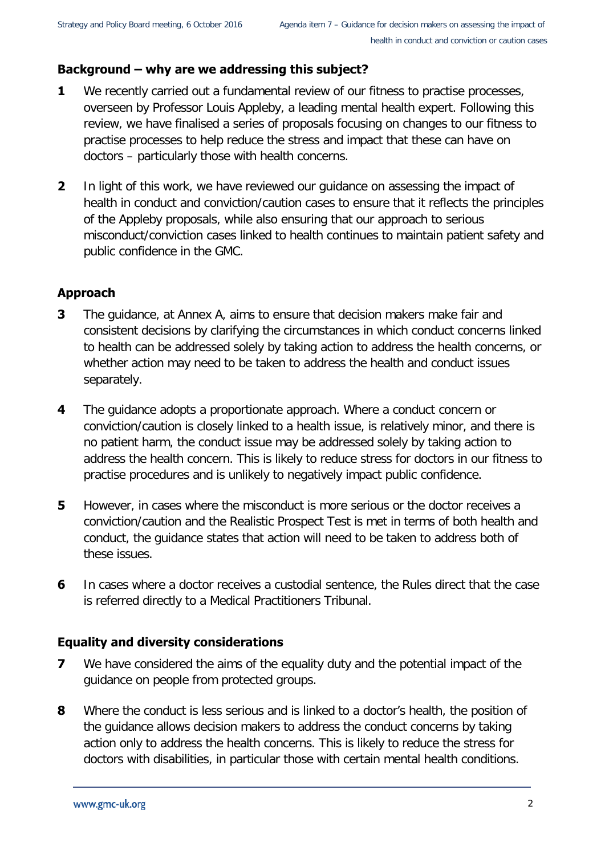## **Background – why are we addressing this subject?**

- **1** We recently carried out a fundamental review of our fitness to practise processes, overseen by Professor Louis Appleby, a leading mental health expert. Following this review, we have finalised a series of proposals focusing on changes to our fitness to practise processes to help reduce the stress and impact that these can have on doctors – particularly those with health concerns.
- **2** In light of this work, we have reviewed our guidance on assessing the impact of health in conduct and conviction/caution cases to ensure that it reflects the principles of the Appleby proposals, while also ensuring that our approach to serious misconduct/conviction cases linked to health continues to maintain patient safety and public confidence in the GMC.

# **Approach**

- **3** The guidance, at Annex A, aims to ensure that decision makers make fair and consistent decisions by clarifying the circumstances in which conduct concerns linked to health can be addressed solely by taking action to address the health concerns, or whether action may need to be taken to address the health and conduct issues separately.
- **4** The guidance adopts a proportionate approach. Where a conduct concern or conviction/caution is closely linked to a health issue, is relatively minor, and there is no patient harm, the conduct issue may be addressed solely by taking action to address the health concern. This is likely to reduce stress for doctors in our fitness to practise procedures and is unlikely to negatively impact public confidence.
- **5** However, in cases where the misconduct is more serious or the doctor receives a conviction/caution and the Realistic Prospect Test is met in terms of both health and conduct, the guidance states that action will need to be taken to address both of these issues.
- **6** In cases where a doctor receives a custodial sentence, the Rules direct that the case is referred directly to a Medical Practitioners Tribunal.

#### **Equality and diversity considerations**

- **7** We have considered the aims of the equality duty and the potential impact of the guidance on people from protected groups.
- **8** Where the conduct is less serious and is linked to a doctor's health, the position of the guidance allows decision makers to address the conduct concerns by taking action only to address the health concerns. This is likely to reduce the stress for doctors with disabilities, in particular those with certain mental health conditions.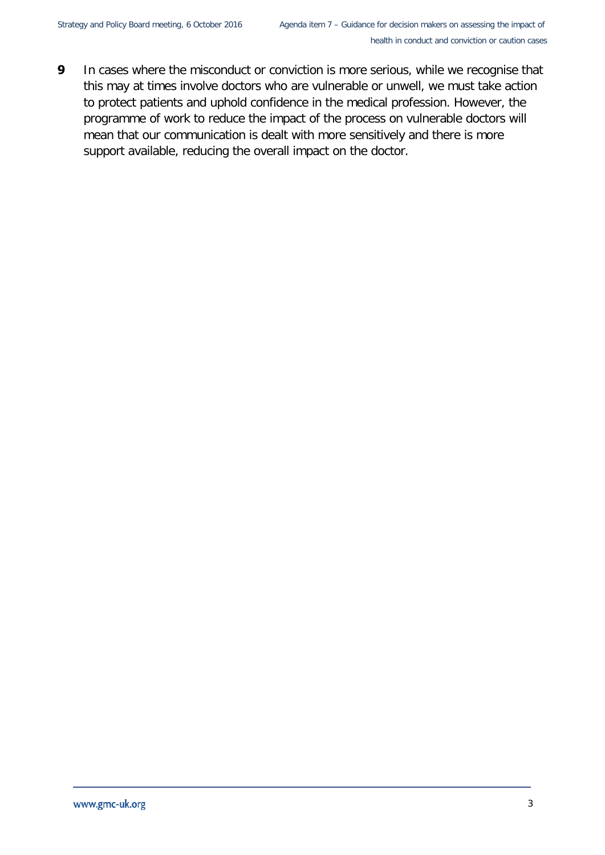**9** In cases where the misconduct or conviction is more serious, while we recognise that this may at times involve doctors who are vulnerable or unwell, we must take action to protect patients and uphold confidence in the medical profession. However, the programme of work to reduce the impact of the process on vulnerable doctors will mean that our communication is dealt with more sensitively and there is more support available, reducing the overall impact on the doctor.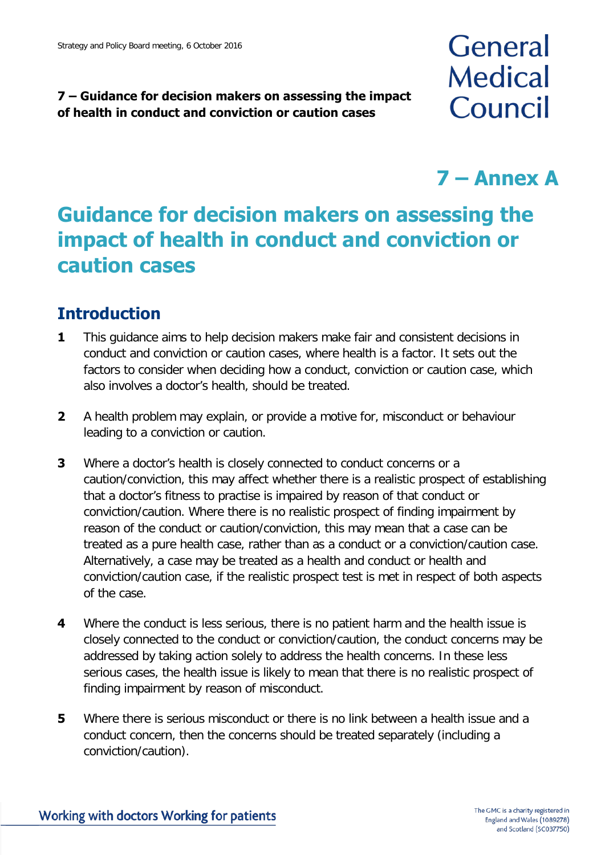# **7 – Guidance for decision makers on assessing the impact of health in conduct and conviction or caution cases**

# **General Medical** Council

# **7 – Annex A**

# **Guidance for decision makers on assessing the impact of health in conduct and conviction or caution cases**

# **Introduction**

- **1** This guidance aims to help decision makers make fair and consistent decisions in conduct and conviction or caution cases, where health is a factor. It sets out the factors to consider when deciding how a conduct, conviction or caution case, which also involves a doctor's health, should be treated.
- **2** A health problem may explain, or provide a motive for, misconduct or behaviour leading to a conviction or caution.
- **3** Where a doctor's health is closely connected to conduct concerns or a caution/conviction, this may affect whether there is a realistic prospect of establishing that a doctor's fitness to practise is impaired by reason of that conduct or conviction/caution. Where there is no realistic prospect of finding impairment by reason of the conduct or caution/conviction, this may mean that a case can be treated as a pure health case, rather than as a conduct or a conviction/caution case. Alternatively, a case may be treated as a health and conduct or health and conviction/caution case, if the realistic prospect test is met in respect of both aspects of the case.
- **4** Where the conduct is less serious, there is no patient harm and the health issue is closely connected to the conduct or conviction/caution, the conduct concerns may be addressed by taking action solely to address the health concerns. In these less serious cases, the health issue is likely to mean that there is no realistic prospect of finding impairment by reason of misconduct.
- **5** Where there is serious misconduct or there is no link between a health issue and a conduct concern, then the concerns should be treated separately (including a conviction/caution).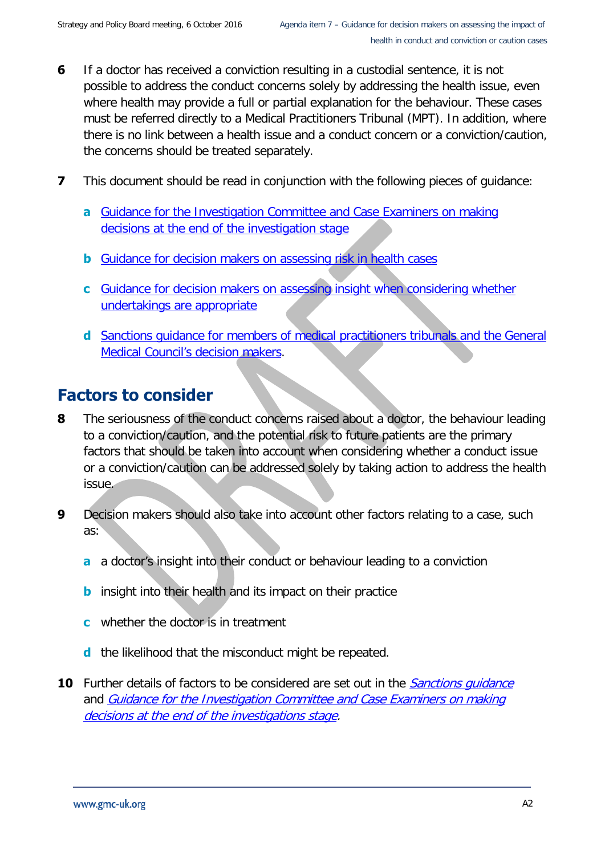- **6** If a doctor has received a conviction resulting in a custodial sentence, it is not possible to address the conduct concerns solely by addressing the health issue, even where health may provide a full or partial explanation for the behaviour. These cases must be referred directly to a Medical Practitioners Tribunal (MPT). In addition, where there is no link between a health issue and a conduct concern or a conviction/caution, the concerns should be treated separately.
- **7** This document should be read in conjunction with the following pieces of guidance:
	- **a** [Guidance for the Investigation Committee and Case Examiners on making](http://www.gmc-uk.org/DC4599_CE_Decision_Guidance___Making_decisions_on_cases_at_the_end_of_the_investigation_stage.pdf_58070536.pdf)  [decisions at the end of the investigation stage](http://www.gmc-uk.org/DC4599_CE_Decision_Guidance___Making_decisions_on_cases_at_the_end_of_the_investigation_stage.pdf_58070536.pdf)
	- **b** [Guidance for decision makers on assessing risk in health cases](http://www.gmc-uk.org/Guidance_for_decision_makers_on_assessing_risk_in_health_cases.pdf_48690195.pdf)
	- **c** [Guidance for decision makers on assessing insight when considering whether](http://www.gmc-uk.org/DC4314_Guidance_for_decision_makers_on_assessing_insight_when_considering_whether_undertakings_are_appropriate.pdf_32423692.pdf)  [undertakings are appropriate](http://www.gmc-uk.org/DC4314_Guidance_for_decision_makers_on_assessing_insight_when_considering_whether_undertakings_are_appropriate.pdf_32423692.pdf)
	- **d** [Sanctions guidance for members of medical practitioners tribunals and the General](http://www.gmc-uk.org/DC4198_Sanctions_Guidance_23008260.pdf)  [Medical Council's decision makers.](http://www.gmc-uk.org/DC4198_Sanctions_Guidance_23008260.pdf)

# **Factors to consider**

- **8** The seriousness of the conduct concerns raised about a doctor, the behaviour leading to a conviction/caution, and the potential risk to future patients are the primary factors that should be taken into account when considering whether a conduct issue or a conviction/caution can be addressed solely by taking action to address the health issue.
- **9** Decision makers should also take into account other factors relating to a case, such as:
	- **a** a doctor's insight into their conduct or behaviour leading to a conviction
	- **b** insight into their health and its impact on their practice
	- **c** whether the doctor is in treatment
	- **d** the likelihood that the misconduct might be repeated.
- **10** Further details of factors to be considered are set out in the *Sanctions quidance* and [Guidance for the Investigation Committee and Case Examiners on making](http://www.gmc-uk.org/DC4599_CE_Decision_Guidance___Making_decisions_on_cases_at_the_end_of_the_investigation_stage.pdf_58070536.pdf)  [decisions at the end of the investigations stage.](http://www.gmc-uk.org/DC4599_CE_Decision_Guidance___Making_decisions_on_cases_at_the_end_of_the_investigation_stage.pdf_58070536.pdf)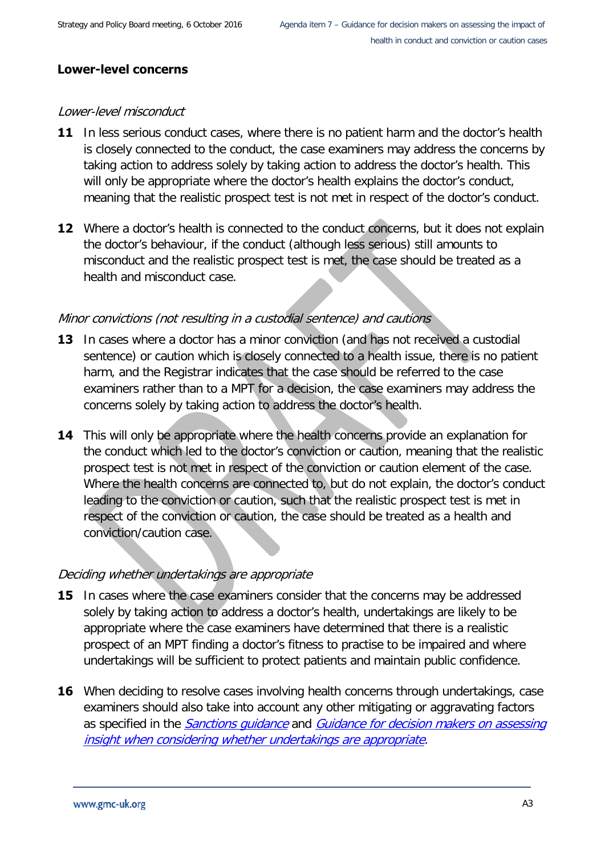#### **Lower-level concerns**

#### Lower-level misconduct

- **11** In less serious conduct cases, where there is no patient harm and the doctor's health is closely connected to the conduct, the case examiners may address the concerns by taking action to address solely by taking action to address the doctor's health. This will only be appropriate where the doctor's health explains the doctor's conduct, meaning that the realistic prospect test is not met in respect of the doctor's conduct.
- **12** Where a doctor's health is connected to the conduct concerns, but it does not explain the doctor's behaviour, if the conduct (although less serious) still amounts to misconduct and the realistic prospect test is met, the case should be treated as a health and misconduct case.

#### Minor convictions (not resulting in a custodial sentence) and cautions

- **13** In cases where a doctor has a minor conviction (and has not received a custodial sentence) or caution which is closely connected to a health issue, there is no patient harm, and the Registrar indicates that the case should be referred to the case examiners rather than to a MPT for a decision, the case examiners may address the concerns solely by taking action to address the doctor's health.
- **14** This will only be appropriate where the health concerns provide an explanation for the conduct which led to the doctor's conviction or caution, meaning that the realistic prospect test is not met in respect of the conviction or caution element of the case. Where the health concerns are connected to, but do not explain, the doctor's conduct leading to the conviction or caution, such that the realistic prospect test is met in respect of the conviction or caution, the case should be treated as a health and conviction/caution case.

#### Deciding whether undertakings are appropriate

- **15** In cases where the case examiners consider that the concerns may be addressed solely by taking action to address a doctor's health, undertakings are likely to be appropriate where the case examiners have determined that there is a realistic prospect of an MPT finding a doctor's fitness to practise to be impaired and where undertakings will be sufficient to protect patients and maintain public confidence.
- **16** When deciding to resolve cases involving health concerns through undertakings, case examiners should also take into account any other mitigating or aggravating factors as specified in the *Sanctions quidance* and *Guidance for decision makers on assessing* [insight when considering whether undertakings are appropriate.](http://www.gmc-uk.org/DC4314_Guidance_for_decision_makers_on_assessing_insight_when_considering_whether_undertakings_are_appropriate.pdf_32423692.pdf)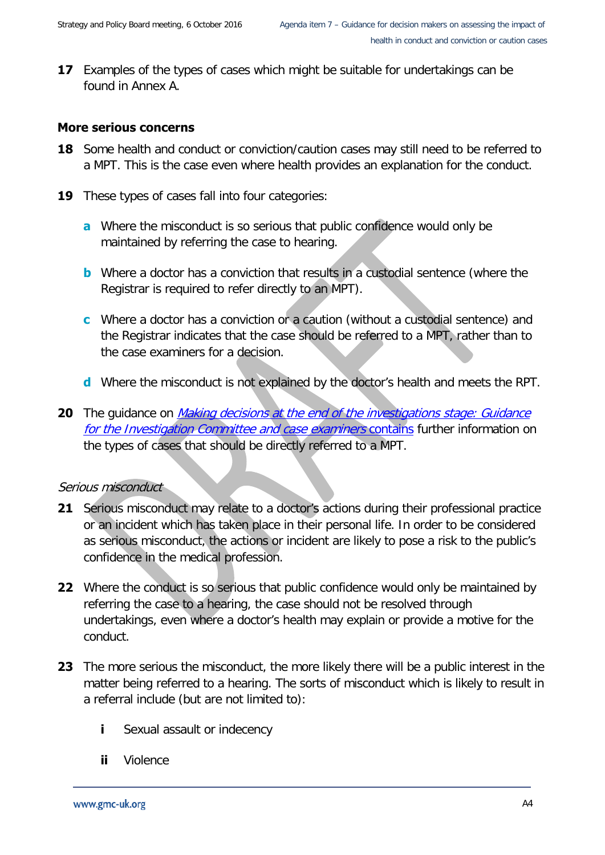**17** Examples of the types of cases which might be suitable for undertakings can be found in Annex A.

#### **More serious concerns**

- **18** Some health and conduct or conviction/caution cases may still need to be referred to a MPT. This is the case even where health provides an explanation for the conduct.
- **19** These types of cases fall into four categories:
	- **a** Where the misconduct is so serious that public confidence would only be maintained by referring the case to hearing.
	- **b** Where a doctor has a conviction that results in a custodial sentence (where the Registrar is required to refer directly to an MPT).
	- **c** Where a doctor has a conviction or a caution (without a custodial sentence) and the Registrar indicates that the case should be referred to a MPT, rather than to the case examiners for a decision.
	- **d** Where the misconduct is not explained by the doctor's health and meets the RPT.
- **20** The guidance on *Making decisions at the end of the investigations stage: Guidance* [for the Investigation Committee and case examiners](http://www.gmc-uk.org/DC4599_CE_Decision_Guidance___Making_decisions_on_cases_at_the_end_of_the_investigation_stage.pdf_58070536.pdf) contains further information on the types of cases that should be directly referred to a MPT.

#### Serious misconduct

- **21** Serious misconduct may relate to a doctor's actions during their professional practice or an incident which has taken place in their personal life. In order to be considered as serious misconduct, the actions or incident are likely to pose a risk to the public's confidence in the medical profession.
- **22** Where the conduct is so serious that public confidence would only be maintained by referring the case to a hearing, the case should not be resolved through undertakings, even where a doctor's health may explain or provide a motive for the conduct.
- **23** The more serious the misconduct, the more likely there will be a public interest in the matter being referred to a hearing. The sorts of misconduct which is likely to result in a referral include (but are not limited to):
	- **i** Sexual assault or indecency
	- **ii** Violence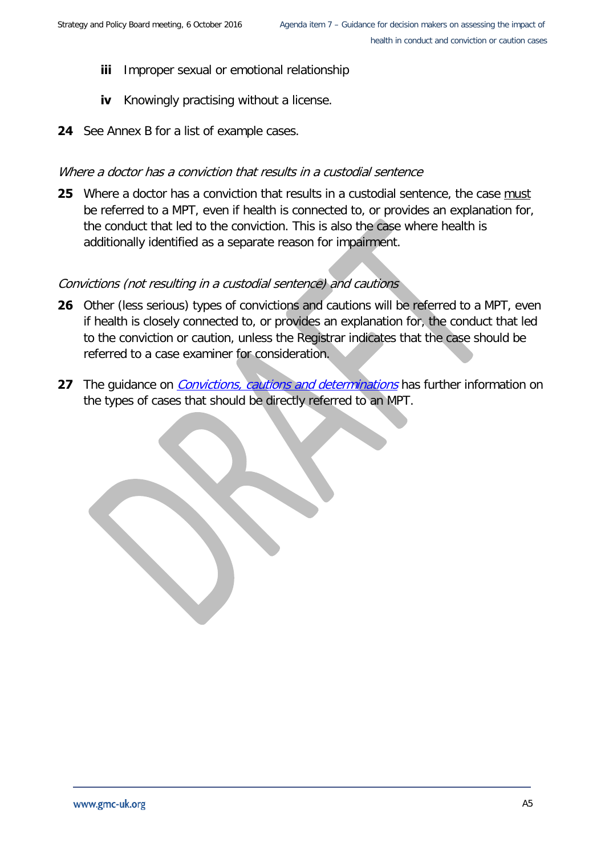- **iii** Improper sexual or emotional relationship
- **iv** Knowingly practising without a license.
- **24** See Annex B for a list of example cases.

#### Where a doctor has a conviction that results in a custodial sentence

**25** Where a doctor has a conviction that results in a custodial sentence, the case must be referred to a MPT, even if health is connected to, or provides an explanation for, the conduct that led to the conviction. This is also the case where health is additionally identified as a separate reason for impairment.

#### Convictions (not resulting in a custodial sentence) and cautions

- **26** Other (less serious) types of convictions and cautions will be referred to a MPT, even if health is closely connected to, or provides an explanation for, the conduct that led to the conviction or caution, unless the Registrar indicates that the case should be referred to a case examiner for consideration.
- **27** The quidance on *[Convictions, cautions and determinations](http://www.gmc-uk.org/DC4594_CE_Decision_Guidance___Annex_D___Convictions_Guidance.pdf_58067974.pdf)* has further information on the types of cases that should be directly referred to an MPT.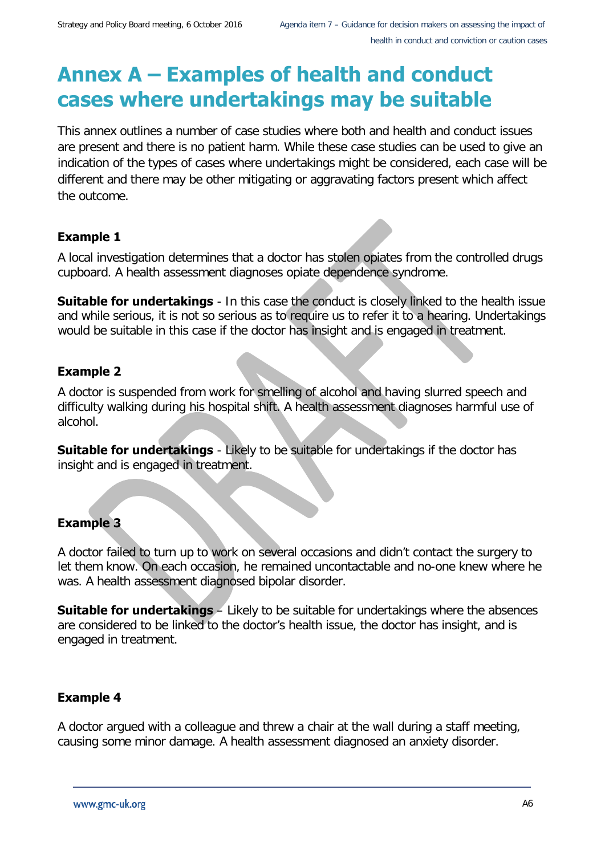# **Annex A – Examples of health and conduct cases where undertakings may be suitable**

This annex outlines a number of case studies where both and health and conduct issues are present and there is no patient harm. While these case studies can be used to give an indication of the types of cases where undertakings might be considered, each case will be different and there may be other mitigating or aggravating factors present which affect the outcome.

### **Example 1**

A local investigation determines that a doctor has stolen opiates from the controlled drugs cupboard. A health assessment diagnoses opiate dependence syndrome.

**Suitable for undertakings** - In this case the conduct is closely linked to the health issue and while serious, it is not so serious as to require us to refer it to a hearing. Undertakings would be suitable in this case if the doctor has insight and is engaged in treatment.

### **Example 2**

A doctor is suspended from work for smelling of alcohol and having slurred speech and difficulty walking during his hospital shift. A health assessment diagnoses harmful use of alcohol.

**Suitable for undertakings** - Likely to be suitable for undertakings if the doctor has insight and is engaged in treatment.

# **Example 3**

A doctor failed to turn up to work on several occasions and didn't contact the surgery to let them know. On each occasion, he remained uncontactable and no-one knew where he was. A health assessment diagnosed bipolar disorder.

**Suitable for undertakings** – Likely to be suitable for undertakings where the absences are considered to be linked to the doctor's health issue, the doctor has insight, and is engaged in treatment.

# **Example 4**

A doctor argued with a colleague and threw a chair at the wall during a staff meeting, causing some minor damage. A health assessment diagnosed an anxiety disorder.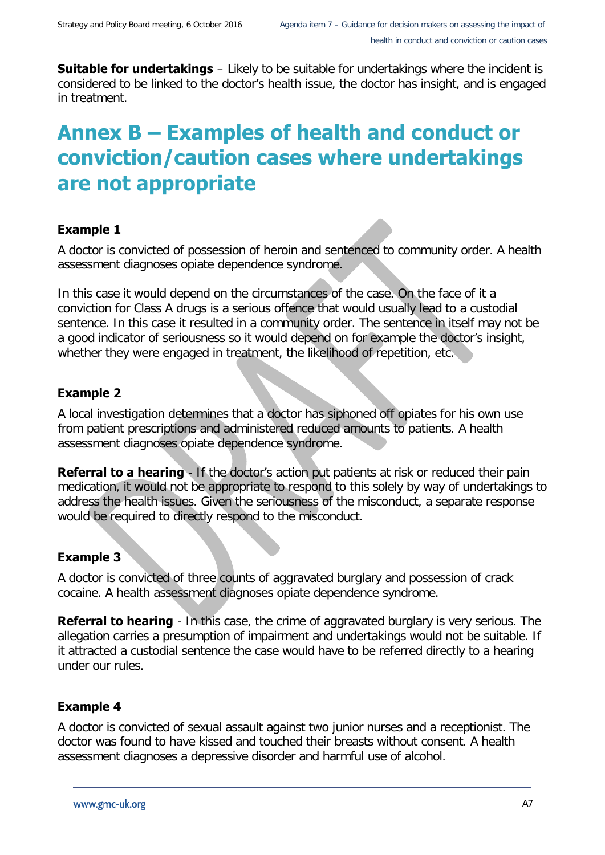**Suitable for undertakings** – Likely to be suitable for undertakings where the incident is considered to be linked to the doctor's health issue, the doctor has insight, and is engaged in treatment.

# **Annex B – Examples of health and conduct or conviction/caution cases where undertakings are not appropriate**

#### **Example 1**

A doctor is convicted of possession of heroin and sentenced to community order. A health assessment diagnoses opiate dependence syndrome.

In this case it would depend on the circumstances of the case. On the face of it a conviction for Class A drugs is a serious offence that would usually lead to a custodial sentence. In this case it resulted in a community order. The sentence in itself may not be a good indicator of seriousness so it would depend on for example the doctor's insight, whether they were engaged in treatment, the likelihood of repetition, etc.

### **Example 2**

A local investigation determines that a doctor has siphoned off opiates for his own use from patient prescriptions and administered reduced amounts to patients. A health assessment diagnoses opiate dependence syndrome.

**Referral to a hearing** - If the doctor's action put patients at risk or reduced their pain medication, it would not be appropriate to respond to this solely by way of undertakings to address the health issues. Given the seriousness of the misconduct, a separate response would be required to directly respond to the misconduct.

#### **Example 3**

A doctor is convicted of three counts of aggravated burglary and possession of crack cocaine. A health assessment diagnoses opiate dependence syndrome.

**Referral to hearing** - In this case, the crime of aggravated burglary is very serious. The allegation carries a presumption of impairment and undertakings would not be suitable. If it attracted a custodial sentence the case would have to be referred directly to a hearing under our rules.

# **Example 4**

A doctor is convicted of sexual assault against two junior nurses and a receptionist. The doctor was found to have kissed and touched their breasts without consent. A health assessment diagnoses a depressive disorder and harmful use of alcohol.